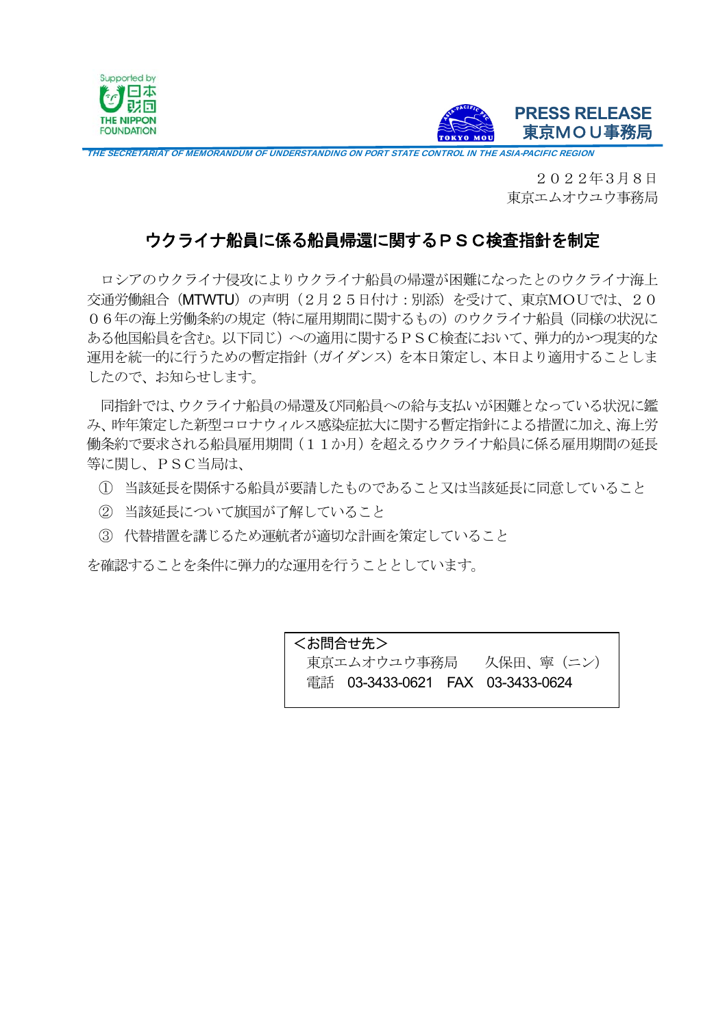



THE SECRETARIAT OF MEMORANDUM OF UNDERSTANDING ON PORT STATE CONTROL IN THE ASIA-PACIFIC REGION

2022年3月8日 東京エムオウユウ事務局

## ウクライナ船員に係る船員帰還に関するPSC検査指針を制定

ロシアのウクライナ侵攻によりウクライナ船員の帰還が困難になったとのウクライナ海上 交通労働組合(MTWTU)の声明(2月25日付け:別添)を受けて、東京MOUでは、20 06年の海上労働条約の規定(特に雇用期間に関するもの)のウクライナ船員(同様の状況に ある他国船員を含む。以下同じ)への適用に関するPSC検査において、弾力的かつ現実的な 運用を統一的に行うための暫定指針(ガイダンス)を本日策定し、本日より適用することしま したので、お知らせします。

同指針では、ウクライナ船員の帰還及び同船員への給与支払いが困難となっている状況に鑑 み、昨年策定した新型コロナウィルス感染症拡大に関する暫定指針による措置に加え、海上労 働条約で要求される船員雇用期間(11か月)を超えるウクライナ船員に係る雇用期間の延長 等に関し、PSC当局は、

- ① 当該延長を関係する船員が要請したものであること又は当該延長に同意していること
- ② 当該延長について旗国が了解していること
- ③ 代替措置を講じるため運航者が適切な計画を策定していること

を確認することを条件に弾力的な運用を行うこととしています。

<お問合せ先> 東京エムオウユウ事務局 久保田、寧(ニン) 電話 03-3433-0621 FAX 03-3433-0624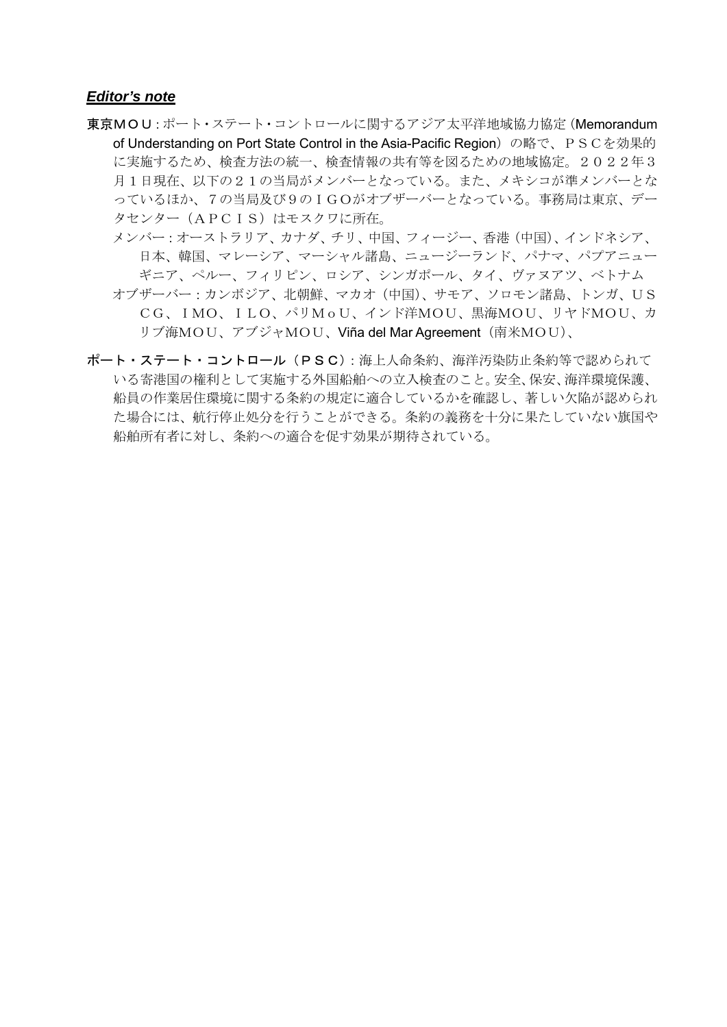## *Editor's note*

- 東京MOU:ポート・ステート・コントロールに関するアジア太平洋地域協力協定(Memorandum of Understanding on Port State Control in the Asia-Pacific Region) の略で、PSCを効果的 に実施するため、検査方法の統一、検査情報の共有等を図るための地域協定。2022年3 月1日現在、以下の21の当局がメンバーとなっている。また、メキシコが準メンバーとな っているほか、7の当局及び9のIGOがオブザーバーとなっている。事務局は東京、デー タセンター(APCIS)はモスクワに所在。
	- メンバー:オーストラリア、カナダ、チリ、中国、フィージー、香港(中国)、インドネシア、 日本、韓国、マレーシア、マーシャル諸島、ニュージーランド、パナマ、パプアニュー ギニア、ペルー、フィリピン、ロシア、シンガポール、タイ、ヴァヌアツ、ベトナム オブザーバー:カンボジア、北朝鮮、マカオ(中国)、サモア、ソロモン諸島、トンガ、US CG、IMO、ILO、パリMoU、インド洋MOU、黒海MOU、リヤドMOU、カ
		- リブ海MOU、アブジャMOU、Viña del Mar Agreement(南米MOU)、
- ポート・ステート・コントロール (PSC): 海上人命条約、海洋汚染防止条約等で認められて いる寄港国の権利として実施する外国船舶への立入検査のこと。安全、保安、海洋環境保護、 船員の作業居住環境に関する条約の規定に適合しているかを確認し、著しい欠陥が認められ た場合には、航行停止処分を行うことができる。条約の義務を十分に果たしていない旗国や 船舶所有者に対し、条約への適合を促す効果が期待されている。